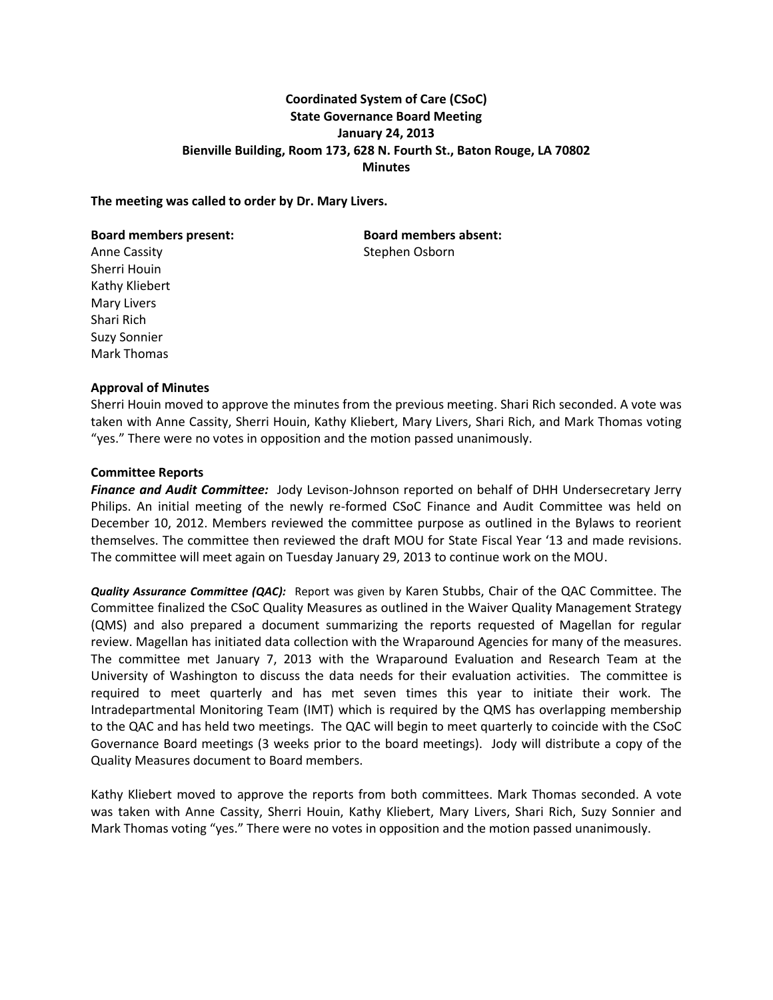# **Coordinated System of Care (CSoC) State Governance Board Meeting January 24, 2013 Bienville Building, Room 173, 628 N. Fourth St., Baton Rouge, LA 70802 Minutes**

### **The meeting was called to order by Dr. Mary Livers.**

#### **Board members present: Board members absent:**

Sherri Houin Kathy Kliebert Mary Livers Shari Rich Suzy Sonnier Mark Thomas

Anne Cassity **Stephen Osborn** 

# **Approval of Minutes**

Sherri Houin moved to approve the minutes from the previous meeting. Shari Rich seconded. A vote was taken with Anne Cassity, Sherri Houin, Kathy Kliebert, Mary Livers, Shari Rich, and Mark Thomas voting "yes." There were no votes in opposition and the motion passed unanimously.

#### **Committee Reports**

*Finance and Audit Committee:* Jody Levison-Johnson reported on behalf of DHH Undersecretary Jerry Philips. An initial meeting of the newly re-formed CSoC Finance and Audit Committee was held on December 10, 2012. Members reviewed the committee purpose as outlined in the Bylaws to reorient themselves. The committee then reviewed the draft MOU for State Fiscal Year '13 and made revisions. The committee will meet again on Tuesday January 29, 2013 to continue work on the MOU.

*Quality Assurance Committee (QAC):* Report was given by Karen Stubbs, Chair of the QAC Committee. The Committee finalized the CSoC Quality Measures as outlined in the Waiver Quality Management Strategy (QMS) and also prepared a document summarizing the reports requested of Magellan for regular review. Magellan has initiated data collection with the Wraparound Agencies for many of the measures. The committee met January 7, 2013 with the Wraparound Evaluation and Research Team at the University of Washington to discuss the data needs for their evaluation activities. The committee is required to meet quarterly and has met seven times this year to initiate their work. The Intradepartmental Monitoring Team (IMT) which is required by the QMS has overlapping membership to the QAC and has held two meetings. The QAC will begin to meet quarterly to coincide with the CSoC Governance Board meetings (3 weeks prior to the board meetings). Jody will distribute a copy of the Quality Measures document to Board members.

Kathy Kliebert moved to approve the reports from both committees. Mark Thomas seconded. A vote was taken with Anne Cassity, Sherri Houin, Kathy Kliebert, Mary Livers, Shari Rich, Suzy Sonnier and Mark Thomas voting "yes." There were no votes in opposition and the motion passed unanimously.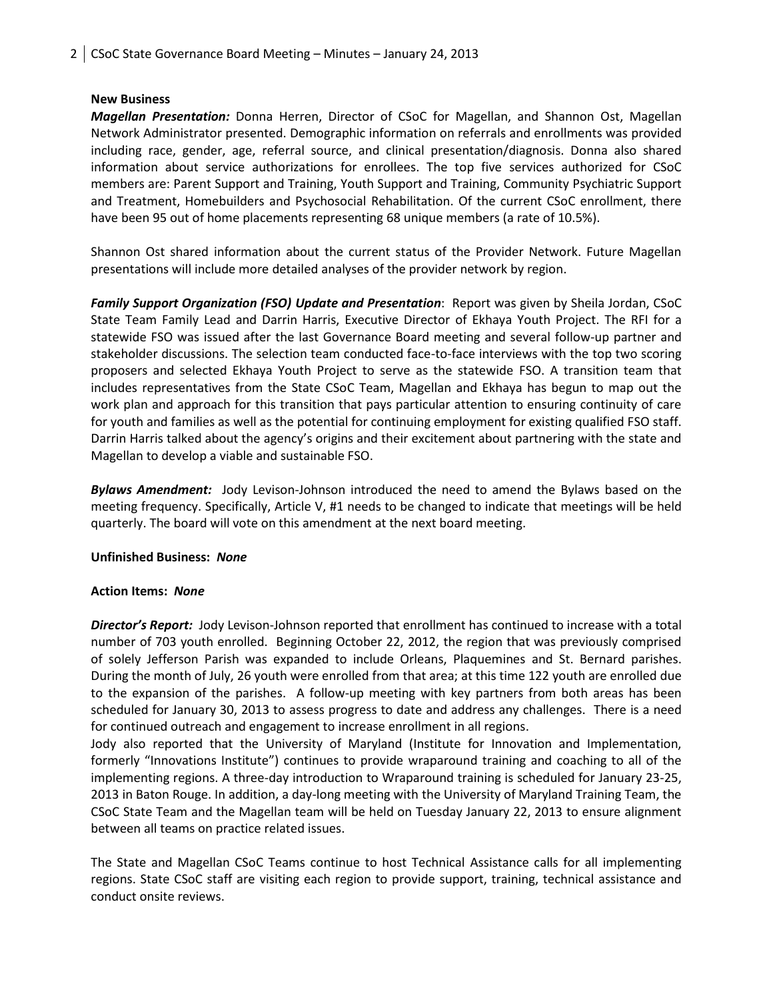# **New Business**

*Magellan Presentation:* Donna Herren, Director of CSoC for Magellan, and Shannon Ost, Magellan Network Administrator presented. Demographic information on referrals and enrollments was provided including race, gender, age, referral source, and clinical presentation/diagnosis. Donna also shared information about service authorizations for enrollees. The top five services authorized for CSoC members are: Parent Support and Training, Youth Support and Training, Community Psychiatric Support and Treatment, Homebuilders and Psychosocial Rehabilitation. Of the current CSoC enrollment, there have been 95 out of home placements representing 68 unique members (a rate of 10.5%).

Shannon Ost shared information about the current status of the Provider Network. Future Magellan presentations will include more detailed analyses of the provider network by region.

*Family Support Organization (FSO) Update and Presentation*: Report was given by Sheila Jordan, CSoC State Team Family Lead and Darrin Harris, Executive Director of Ekhaya Youth Project. The RFI for a statewide FSO was issued after the last Governance Board meeting and several follow-up partner and stakeholder discussions. The selection team conducted face-to-face interviews with the top two scoring proposers and selected Ekhaya Youth Project to serve as the statewide FSO. A transition team that includes representatives from the State CSoC Team, Magellan and Ekhaya has begun to map out the work plan and approach for this transition that pays particular attention to ensuring continuity of care for youth and families as well as the potential for continuing employment for existing qualified FSO staff. Darrin Harris talked about the agency's origins and their excitement about partnering with the state and Magellan to develop a viable and sustainable FSO.

*Bylaws Amendment:* Jody Levison-Johnson introduced the need to amend the Bylaws based on the meeting frequency. Specifically, Article V, #1 needs to be changed to indicate that meetings will be held quarterly. The board will vote on this amendment at the next board meeting.

# **Unfinished Business:** *None*

# **Action Items:** *None*

*Director's Report:* Jody Levison-Johnson reported that enrollment has continued to increase with a total number of 703 youth enrolled. Beginning October 22, 2012, the region that was previously comprised of solely Jefferson Parish was expanded to include Orleans, Plaquemines and St. Bernard parishes. During the month of July, 26 youth were enrolled from that area; at this time 122 youth are enrolled due to the expansion of the parishes. A follow-up meeting with key partners from both areas has been scheduled for January 30, 2013 to assess progress to date and address any challenges. There is a need for continued outreach and engagement to increase enrollment in all regions.

Jody also reported that the University of Maryland (Institute for Innovation and Implementation, formerly "Innovations Institute") continues to provide wraparound training and coaching to all of the implementing regions. A three-day introduction to Wraparound training is scheduled for January 23-25, 2013 in Baton Rouge. In addition, a day-long meeting with the University of Maryland Training Team, the CSoC State Team and the Magellan team will be held on Tuesday January 22, 2013 to ensure alignment between all teams on practice related issues.

The State and Magellan CSoC Teams continue to host Technical Assistance calls for all implementing regions. State CSoC staff are visiting each region to provide support, training, technical assistance and conduct onsite reviews.